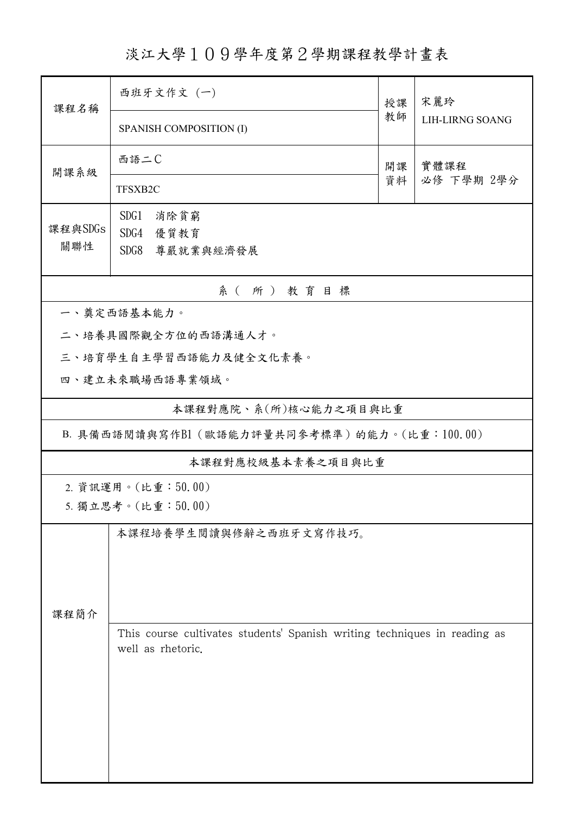淡江大學109學年度第2學期課程教學計畫表

| 課程名稱                  | 西班牙文作文 (一)                                                                |          | 宋麗玲                    |  |  |  |
|-----------------------|---------------------------------------------------------------------------|----------|------------------------|--|--|--|
|                       | SPANISH COMPOSITION (I)                                                   | 教師       | <b>LIH-LIRNG SOANG</b> |  |  |  |
| 開課系級                  | 西語二C                                                                      | 開課<br>資料 | 實體課程                   |  |  |  |
|                       | TFSXB2C                                                                   |          | 必修 下學期 2學分             |  |  |  |
|                       | SDG1<br>消除貧窮                                                              |          |                        |  |  |  |
| 課程與SDGs<br>關聯性        | SDG4<br>優質教育                                                              |          |                        |  |  |  |
|                       | SDG8<br>尊嚴就業與經濟發展                                                         |          |                        |  |  |  |
| 系(所)教育目標              |                                                                           |          |                        |  |  |  |
|                       | 一、奠定西語基本能力。                                                               |          |                        |  |  |  |
|                       | 二、培養具國際觀全方位的西語溝通人才。                                                       |          |                        |  |  |  |
|                       | 三、培育學生自主學習西語能力及健全文化素養。                                                    |          |                        |  |  |  |
|                       | 四、建立未來職場西語專業領域。                                                           |          |                        |  |  |  |
| 本課程對應院、系(所)核心能力之項目與比重 |                                                                           |          |                        |  |  |  |
|                       | B. 具備西語閱讀與寫作B1 (歐語能力評量共同參考標準) 的能力。(比重:100.00)                             |          |                        |  |  |  |
|                       | 本課程對應校級基本素養之項目與比重                                                         |          |                        |  |  |  |
|                       | 2. 資訊運用。(比重:50.00)                                                        |          |                        |  |  |  |
|                       | 5. 獨立思考。(比重:50.00)                                                        |          |                        |  |  |  |
|                       | 本課程培養學生閱讀與修辭之西班牙文寫作技巧。                                                    |          |                        |  |  |  |
|                       |                                                                           |          |                        |  |  |  |
|                       |                                                                           |          |                        |  |  |  |
|                       |                                                                           |          |                        |  |  |  |
| 課程簡介                  | This course cultivates students' Spanish writing techniques in reading as |          |                        |  |  |  |
|                       | well as rhetoric.                                                         |          |                        |  |  |  |
|                       |                                                                           |          |                        |  |  |  |
|                       |                                                                           |          |                        |  |  |  |
|                       |                                                                           |          |                        |  |  |  |
|                       |                                                                           |          |                        |  |  |  |
|                       |                                                                           |          |                        |  |  |  |
|                       |                                                                           |          |                        |  |  |  |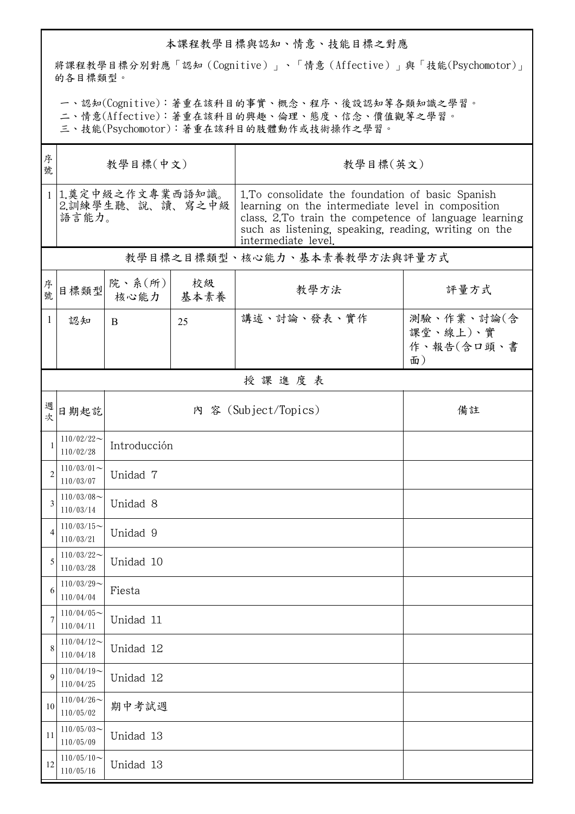## 本課程教學目標與認知、情意、技能目標之對應

將課程教學目標分別對應「認知(Cognitive)」、「情意(Affective)」與「技能(Psychomotor)」 的各目標類型。

一、認知(Cognitive):著重在該科目的事實、概念、程序、後設認知等各類知識之學習。

二、情意(Affective):著重在該科目的興趣、倫理、態度、信念、價值觀等之學習。

三、技能(Psychomotor):著重在該科目的肢體動作或技術操作之學習。

| 序<br>號         | 教學目標(中文)                                                        |                            |            | 教學目標(英文)                                                                                                                                                                                                                                       |                                            |  |  |  |
|----------------|-----------------------------------------------------------------|----------------------------|------------|------------------------------------------------------------------------------------------------------------------------------------------------------------------------------------------------------------------------------------------------|--------------------------------------------|--|--|--|
|                | 1.奠定中級之作文專業西語知識。<br>1 <sup>1</sup><br>2.訓練學生聽、說、讀、寫之中級<br>語言能力。 |                            |            | 1. To consolidate the foundation of basic Spanish<br>learning on the intermediate level in composition<br>class. 2.To train the competence of language learning<br>such as listening, speaking, reading, writing on the<br>intermediate level. |                                            |  |  |  |
|                | 教學目標之目標類型、核心能力、基本素養教學方法與評量方式                                    |                            |            |                                                                                                                                                                                                                                                |                                            |  |  |  |
| 序號             | 目標類型                                                            | 院、系 $(\text{m})$<br>核心能力   | 校級<br>基本素養 | 教學方法                                                                                                                                                                                                                                           | 評量方式                                       |  |  |  |
| 1              | 認知                                                              | B                          | 25         | 講述、討論、發表、實作                                                                                                                                                                                                                                    | 測驗、作業、討論(含<br>課堂、線上)、實<br>作、報告(含口頭、書<br>面) |  |  |  |
|                |                                                                 |                            |            | 授課進度表                                                                                                                                                                                                                                          |                                            |  |  |  |
| 週次             | 日期起訖                                                            | 內 容 (Subject/Topics)<br>備註 |            |                                                                                                                                                                                                                                                |                                            |  |  |  |
| 1              | $110/02/22$ ~<br>110/02/28                                      | Introducción               |            |                                                                                                                                                                                                                                                |                                            |  |  |  |
| $\overline{c}$ | $110/03/01$ ~<br>110/03/07                                      | Unidad 7                   |            |                                                                                                                                                                                                                                                |                                            |  |  |  |
| 3              | $110/03/08$ ~<br>110/03/14                                      | Unidad 8                   |            |                                                                                                                                                                                                                                                |                                            |  |  |  |
| 4              | $110/03/15$ ~<br>110/03/21                                      | Unidad 9                   |            |                                                                                                                                                                                                                                                |                                            |  |  |  |
| 5              | $110/03/22$ ~<br>110/03/28                                      | Unidad 10                  |            |                                                                                                                                                                                                                                                |                                            |  |  |  |
| 6              | $110/03/29$ ~<br>110/04/04                                      | Fiesta                     |            |                                                                                                                                                                                                                                                |                                            |  |  |  |
| 7              | $110/04/05$ ~<br>110/04/11                                      | Unidad 11                  |            |                                                                                                                                                                                                                                                |                                            |  |  |  |
| 8              | $110/04/12$ ~<br>110/04/18                                      | Unidad 12                  |            |                                                                                                                                                                                                                                                |                                            |  |  |  |
| 9              | $110/04/19$ ~<br>110/04/25                                      | Unidad 12                  |            |                                                                                                                                                                                                                                                |                                            |  |  |  |
| 10             | $110/04/26$ ~<br>110/05/02                                      | 期中考試週                      |            |                                                                                                                                                                                                                                                |                                            |  |  |  |
| 11             | $110/05/03$ ~<br>110/05/09                                      | Unidad 13                  |            |                                                                                                                                                                                                                                                |                                            |  |  |  |
| 12             | $110/05/10$ ~<br>110/05/16                                      | Unidad 13                  |            |                                                                                                                                                                                                                                                |                                            |  |  |  |